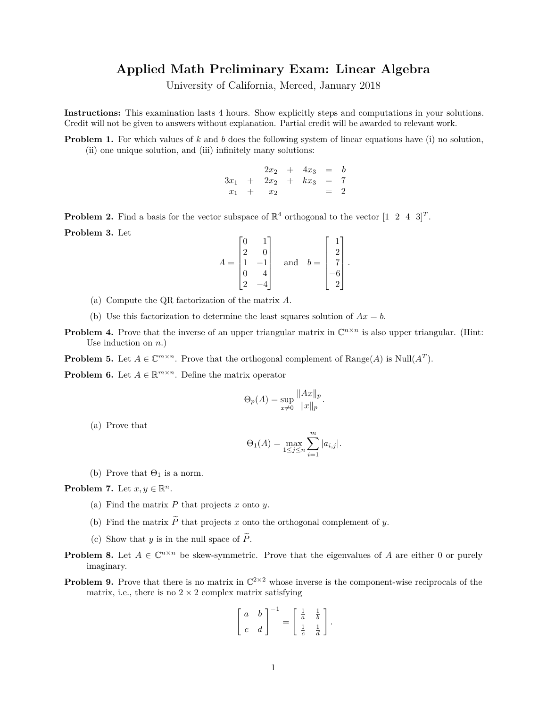## **Applied Math Preliminary Exam: Linear Algebra**

University of California, Merced, January 2018

**Instructions:** This examination lasts 4 hours. Show explicitly steps and computations in your solutions. Credit will not be given to answers without explanation. Partial credit will be awarded to relevant work.

**Problem 1.** For which values of k and b does the following system of linear equations have (i) no solution, (ii) one unique solution, and (iii) infinitely many solutions:

> $2x_2 + 4x_3 = b$  $3x_1 + 2x_2 + kx_3 = 7$  $x_1 + x_2 = 2$

**Problem 2.** Find a basis for the vector subspace of  $\mathbb{R}^4$  orthogonal to the vector  $[1 \ 2 \ 4 \ 3]^T$ . **Problem 3.** Let

$$
A = \begin{bmatrix} 0 & 1 \\ 2 & 0 \\ 1 & -1 \\ 0 & 4 \\ 2 & -4 \end{bmatrix} \quad \text{and} \quad b = \begin{bmatrix} 1 \\ 2 \\ 7 \\ -6 \\ 2 \end{bmatrix}.
$$

- (a) Compute the QR factorization of the matrix *A*.
- (b) Use this factorization to determine the least squares solution of  $Ax = b$ .
- **Problem 4.** Prove that the inverse of an upper triangular matrix in  $\mathbb{C}^{n \times n}$  is also upper triangular. (Hint: Use induction on *n*.)

**Problem 5.** Let  $A \in \mathbb{C}^{m \times n}$ . Prove that the orthogonal complement of Range(*A*) is Null(*A<sup>T</sup>*).

**Problem 6.** Let  $A \in \mathbb{R}^{m \times n}$ . Define the matrix operator

$$
\Theta_p(A) = \sup_{x \neq 0} \frac{\|Ax\|_p}{\|x\|_p}.
$$

(a) Prove that

$$
\Theta_1(A) = \max_{1 \le j \le n} \sum_{i=1}^m |a_{i,j}|.
$$

(b) Prove that  $\Theta_1$  is a norm.

**Problem 7.** Let  $x, y \in \mathbb{R}^n$ .

- (a) Find the matrix *P* that projects *x* onto *y*.
- (b) Find the matrix  $\widetilde{P}$  that projects *x* onto the orthogonal complement of *y*.
- (c) Show that *y* is in the null space of  $\widetilde{P}$ .
- **Problem 8.** Let  $A \in \mathbb{C}^{n \times n}$  be skew-symmetric. Prove that the eigenvalues of *A* are either 0 or purely imaginary.
- **Problem 9.** Prove that there is no matrix in  $\mathbb{C}^{2\times 2}$  whose inverse is the component-wise reciprocals of the matrix, i.e., there is no  $2 \times 2$  complex matrix satisfying

$$
\left[\begin{array}{cc} a & b \\ c & d \end{array}\right]^{-1} = \left[\begin{array}{cc} \frac{1}{a} & \frac{1}{b} \\ \frac{1}{c} & \frac{1}{d} \end{array}\right].
$$